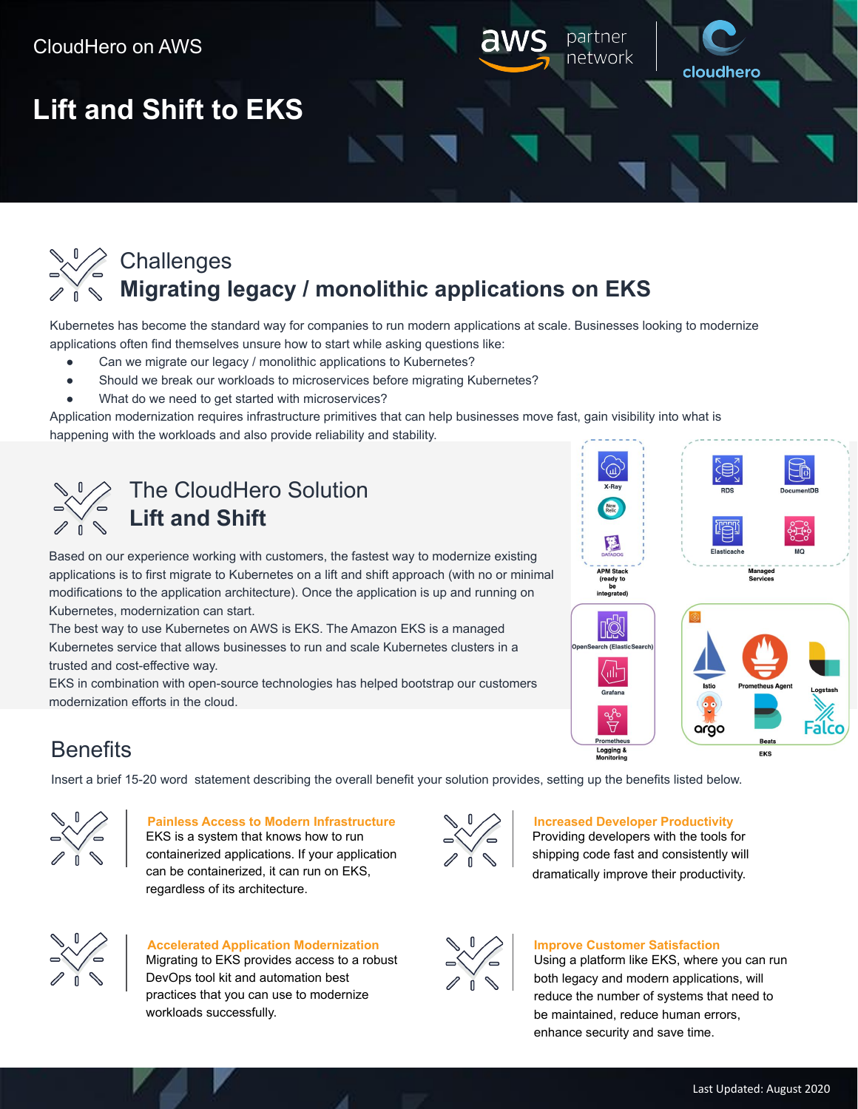

Kubernetes has become the standard way for companies to run modern applications at scale. Businesses looking to modernize applications often find themselves unsure how to start while asking questions like:

- Can we migrate our legacy / monolithic applications to Kubernetes?
- Should we break our workloads to microservices before migrating Kubernetes?
- What do we need to get started with microservices?

Application modernization requires infrastructure primitives that can help businesses move fast, gain visibility into what is happening with the workloads and also provide reliability and stability.



# The CloudHero Solution **Lift and Shift**

Based on our experience working with customers, the fastest way to modernize existing applications is to first migrate to Kubernetes on a lift and shift approach (with no or minimal modifications to the application architecture). Once the application is up and running on Kubernetes, modernization can start.

The best way to use Kubernetes on AWS is EKS. The Amazon EKS is a managed Kubernetes service that allows businesses to run and scale Kubernetes clusters in a trusted and cost-effective way.

EKS in combination with open-source technologies has helped bootstrap our customers modernization efforts in the cloud.



# **Benefits**

Insert a brief 15-20 word statement describing the overall benefit your solution provides, setting up the benefits listed below.



#### **Painless Access to Modern Infrastructure**

EKS is a system that knows how to run containerized applications. If your application can be containerized, it can run on EKS, regardless of its architecture.



#### **Increased Developer Productivity**

Providing developers with the tools for shipping code fast and consistently will dramatically improve their productivity.



### **Accelerated Application Modernization** Migrating to EKS provides access to a robust DevOps tool kit and automation best practices that you can use to modernize workloads successfully.



#### **Improve Customer Satisfaction**

Using a platform like EKS, where you can run both legacy and modern applications, will reduce the number of systems that need to be maintained, reduce human errors, enhance security and save time.